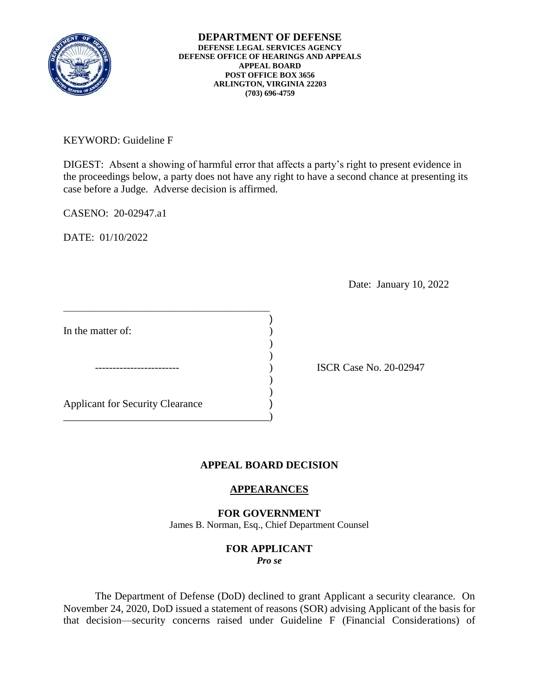

**DEPARTMENT OF DEFENSE DEFENSE LEGAL SERVICES AGENCY DEFENSE OFFICE OF HEARINGS AND APPEALS APPEAL BOARD POST OFFICE BOX 3656 ARLINGTON, VIRGINIA 22203 (703) 696-4759** 

KEYWORD: Guideline F

DIGEST: Absent a showing of harmful error that affects a party's right to present evidence in the proceedings below, a party does not have any right to have a second chance at presenting its case before a Judge. Adverse decision is affirmed.

CASENO: 20-02947.a1

DATE: 01/10/2022

Date: January 10, 2022

In the matter of:  $\qquad \qquad$  ) ) )  $)$  $\overline{\phantom{a}}$ Applicant for Security Clearance ) \_\_\_\_\_\_\_\_\_\_\_\_\_\_\_\_\_\_\_\_\_\_\_\_\_\_\_\_\_\_\_\_\_\_\_\_\_\_\_)

\_\_\_\_\_\_\_\_\_\_\_\_\_\_\_\_\_\_\_\_\_\_\_\_\_\_\_\_\_\_\_\_\_\_\_\_\_\_\_\_\_\_\_\_\_\_\_

) ISCR Case No. 20-02947

## **APPEAL BOARD DECISION**

)

## **APPEARANCES**

**FOR GOVERNMENT**  James B. Norman, Esq., Chief Department Counsel

## **FOR APPLICANT**  *Pro se*

 The Department of Defense (DoD) declined to grant Applicant a security clearance. On November 24, 2020, DoD issued a statement of reasons (SOR) advising Applicant of the basis for that decision—security concerns raised under Guideline F (Financial Considerations) of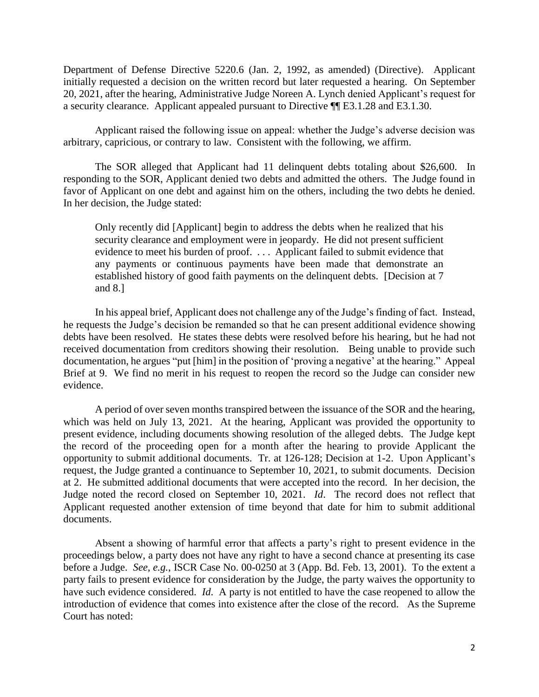Department of Defense Directive 5220.6 (Jan. 2, 1992, as amended) (Directive). Applicant 20, 2021, after the hearing, Administrative Judge Noreen A. Lynch denied Applicant's request for initially requested a decision on the written record but later requested a hearing. On September a security clearance. Applicant appealed pursuant to Directive ¶¶ E3.1.28 and E3.1.30.

 Applicant raised the following issue on appeal: whether the Judge's adverse decision was arbitrary, capricious, or contrary to law. Consistent with the following, we affirm.

 The SOR alleged that Applicant had 11 delinquent debts totaling about \$26,600. In responding to the SOR, Applicant denied two debts and admitted the others. The Judge found in favor of Applicant on one debt and against him on the others, including the two debts he denied. In her decision, the Judge stated:

 Only recently did [Applicant] begin to address the debts when he realized that his security clearance and employment were in jeopardy. He did not present sufficient evidence to meet his burden of proof. . . . Applicant failed to submit evidence that any payments or continuous payments have been made that demonstrate an established history of good faith payments on the delinquent debts. [Decision at 7 and 8.]

 In his appeal brief, Applicant does not challenge any of the Judge's finding of fact. Instead, he requests the Judge's decision be remanded so that he can present additional evidence showing debts have been resolved. He states these debts were resolved before his hearing, but he had not received documentation from creditors showing their resolution. Being unable to provide such documentation, he argues "put [him] in the position of 'proving a negative' at the hearing." Appeal Brief at 9. We find no merit in his request to reopen the record so the Judge can consider new evidence.

 A period of over seven months transpired between the issuance of the SOR and the hearing, which was held on July 13, 2021. At the hearing, Applicant was provided the opportunity to present evidence, including documents showing resolution of the alleged debts. The Judge kept the record of the proceeding open for a month after the hearing to provide Applicant the opportunity to submit additional documents. Tr. at 126-128; Decision at 1-2. Upon Applicant's request, the Judge granted a continuance to September 10, 2021, to submit documents. Decision at 2. He submitted additional documents that were accepted into the record. In her decision, the Judge noted the record closed on September 10, 2021. *Id*. The record does not reflect that Applicant requested another extension of time beyond that date for him to submit additional documents.

 Absent a showing of harmful error that affects a party's right to present evidence in the proceedings below, a party does not have any right to have a second chance at presenting its case before a Judge. *See, e.g.*, ISCR Case No. 00-0250 at 3 (App. Bd. Feb. 13, 2001). To the extent a party fails to present evidence for consideration by the Judge, the party waives the opportunity to have such evidence considered. *Id*. A party is not entitled to have the case reopened to allow the introduction of evidence that comes into existence after the close of the record. As the Supreme Court has noted: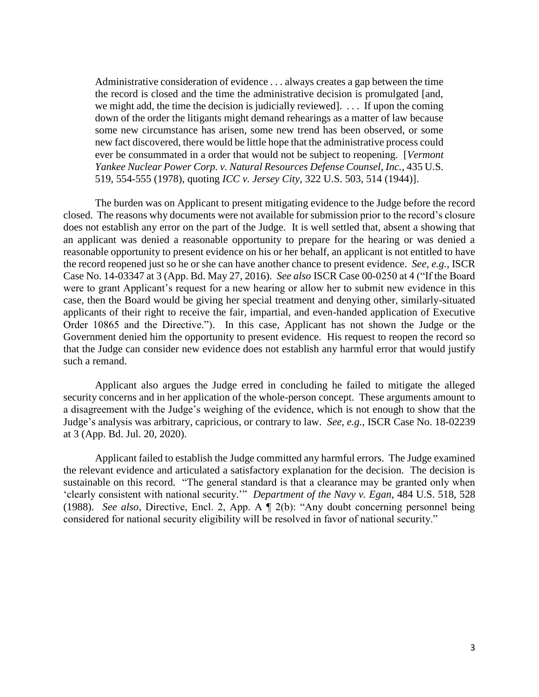Administrative consideration of evidence . . . always creates a gap between the time the record is closed and the time the administrative decision is promulgated [and, we might add, the time the decision is judicially reviewed]. . . . If upon the coming down of the order the litigants might demand rehearings as a matter of law because some new circumstance has arisen, some new trend has been observed, or some new fact discovered, there would be little hope that the administrative process could  *Yankee Nuclear Power Corp. v. Natural Resources Defense Counsel, Inc.*, 435 U.S. ever be consummated in a order that would not be subject to reopening. [*Vermont*  519, 554-555 (1978), quoting *ICC v. Jersey City*, 322 U.S. 503, 514 (1944)].

 The burden was on Applicant to present mitigating evidence to the Judge before the record closed. The reasons why documents were not available for submission prior to the record's closure does not establish any error on the part of the Judge. It is well settled that, absent a showing that an applicant was denied a reasonable opportunity to prepare for the hearing or was denied a reasonable opportunity to present evidence on his or her behalf, an applicant is not entitled to have the record reopened just so he or she can have another chance to present evidence. *See, e.g.*, ISCR Case No. 14-03347 at 3 (App. Bd. May 27, 2016). *See also* ISCR Case 00-0250 at 4 ("If the Board were to grant Applicant's request for a new hearing or allow her to submit new evidence in this case, then the Board would be giving her special treatment and denying other, similarly-situated Order 10865 and the Directive."). In this case, Applicant has not shown the Judge or the applicants of their right to receive the fair, impartial, and even-handed application of Executive Government denied him the opportunity to present evidence. His request to reopen the record so that the Judge can consider new evidence does not establish any harmful error that would justify such a remand.

 Applicant also argues the Judge erred in concluding he failed to mitigate the alleged security concerns and in her application of the whole-person concept. These arguments amount to a disagreement with the Judge's weighing of the evidence, which is not enough to show that the Judge's analysis was arbitrary, capricious, or contrary to law. *See, e.g.*, ISCR Case No. 18-02239 at 3 (App. Bd. Jul. 20, 2020).

 Applicant failed to establish the Judge committed any harmful errors. The Judge examined the relevant evidence and articulated a satisfactory explanation for the decision. The decision is sustainable on this record. "The general standard is that a clearance may be granted only when 'clearly consistent with national security.'" *Department of the Navy v. Egan*, 484 U.S. 518, 528 (1988). *See also*, Directive, Encl. 2, App. A ¶ 2(b): "Any doubt concerning personnel being considered for national security eligibility will be resolved in favor of national security."